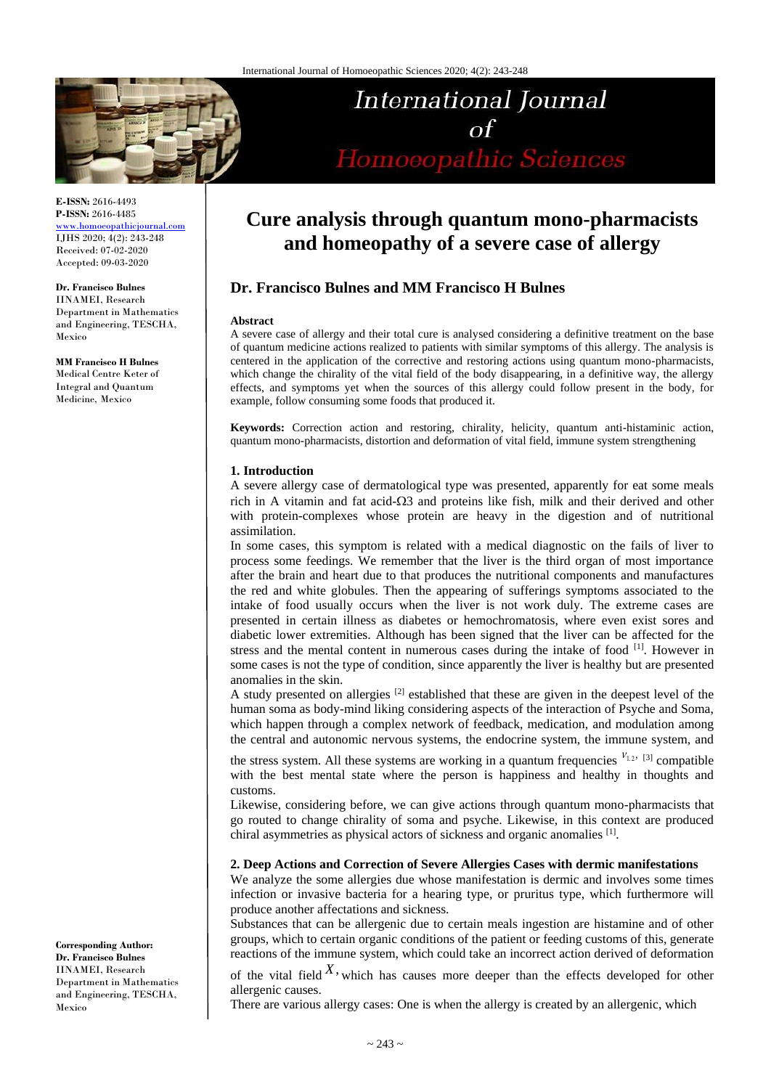

**E-ISSN:** 2616-4493 **P-ISSN:** 2616-4485 <www.homoeopathicjournal.com>

IJHS 2020; 4(2): 243-248 Received: 07-02-2020 Accepted: 09-03-2020

**Dr. Francisco Bulnes** IINAMEI, Research Department in Mathematics and Engineering, TESCHA, Mexico

**MM Francisco H Bulnes** Medical Centre Keter of Integral and Quantum Medicine, Mexico

International Journal Homoeopathic Sciences

# **Cure analysis through quantum mono-pharmacists and homeopathy of a severe case of allergy**

# **Dr. Francisco Bulnes and MM Francisco H Bulnes**

#### **Abstract**

A severe case of allergy and their total cure is analysed considering a definitive treatment on the base of quantum medicine actions realized to patients with similar symptoms of this allergy. The analysis is centered in the application of the corrective and restoring actions using quantum mono-pharmacists, which change the chirality of the vital field of the body disappearing, in a definitive way, the allergy effects, and symptoms yet when the sources of this allergy could follow present in the body, for example, follow consuming some foods that produced it.

**Keywords:** Correction action and restoring, chirality, helicity, quantum anti-histaminic action, quantum mono-pharmacists, distortion and deformation of vital field, immune system strengthening

# **1. Introduction**

A severe allergy case of dermatological type was presented, apparently for eat some meals rich in A vitamin and fat acid- $\Omega$ 3 and proteins like fish, milk and their derived and other with protein-complexes whose protein are heavy in the digestion and of nutritional assimilation.

In some cases, this symptom is related with a medical diagnostic on the fails of liver to process some feedings. We remember that the liver is the third organ of most importance after the brain and heart due to that produces the nutritional components and manufactures the red and white globules. Then the appearing of sufferings symptoms associated to the intake of food usually occurs when the liver is not work duly. The extreme cases are presented in certain illness as diabetes or hemochromatosis, where even exist sores and diabetic lower extremities. Although has been signed that the liver can be affected for the stress and the mental content in numerous cases during the intake of food [1]. However in some cases is not the type of condition, since apparently the liver is healthy but are presented anomalies in the skin.

A study presented on allergies <sup>[2]</sup> established that these are given in the deepest level of the human soma as body-mind liking considering aspects of the interaction of Psyche and Soma, which happen through a complex network of feedback, medication, and modulation among the central and autonomic nervous systems, the endocrine system, the immune system, and

the stress system. All these systems are working in a quantum frequencies  $v_{1,2}$ ,  $[3]$  compatible with the best mental state where the person is happiness and healthy in thoughts and customs.

Likewise, considering before, we can give actions through quantum mono-pharmacists that go routed to change chirality of soma and psyche. Likewise, in this context are produced chiral asymmetries as physical actors of sickness and organic anomalies [1] .

# **2. Deep Actions and Correction of Severe Allergies Cases with dermic manifestations**

We analyze the some allergies due whose manifestation is dermic and involves some times infection or invasive bacteria for a hearing type, or pruritus type, which furthermore will produce another affectations and sickness.

Substances that can be allergenic due to certain meals ingestion are histamine and of other groups, which to certain organic conditions of the patient or feeding customs of this, generate reactions of the immune system, which could take an incorrect action derived of deformation

of the vital field  $X$ , which has causes more deeper than the effects developed for other allergenic causes.

There are various allergy cases: One is when the allergy is created by an allergenic, which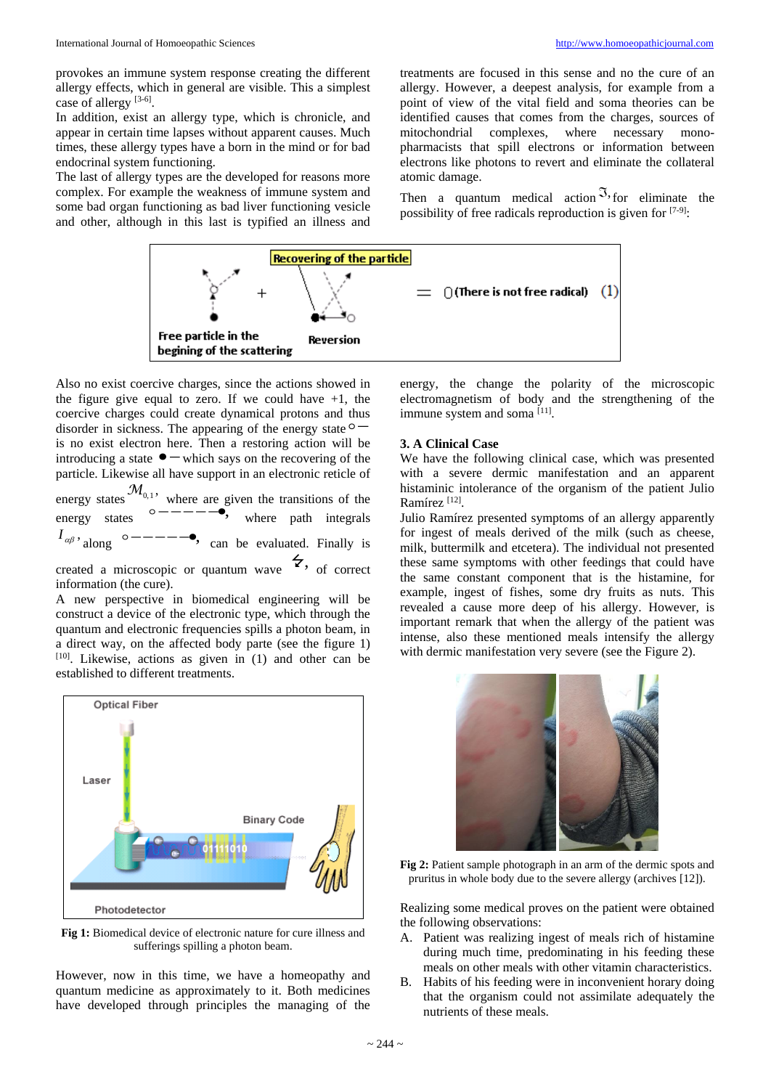provokes an immune system response creating the different allergy effects, which in general are visible. This a simplest case of allergy [3-6].

In addition, exist an allergy type, which is chronicle, and appear in certain time lapses without apparent causes. Much times, these allergy types have a born in the mind or for bad endocrinal system functioning.

The last of allergy types are the developed for reasons more complex. For example the weakness of immune system and some bad organ functioning as bad liver functioning vesicle and other, although in this last is typified an illness and treatments are focused in this sense and no the cure of an allergy. However, a deepest analysis, for example from a point of view of the vital field and soma theories can be identified causes that comes from the charges, sources of mitochondrial complexes, where necessary monopharmacists that spill electrons or information between electrons like photons to revert and eliminate the collateral atomic damage.

Then a quantum medical action  $\mathfrak{I},$  for eliminate the possibility of free radicals reproduction is given for [7-9]:



Also no exist coercive charges, since the actions showed in the figure give equal to zero. If we could have  $+1$ , the coercive charges could create dynamical protons and thus disorder in sickness. The appearing of the energy state  $\circ$  – is no exist electron here. Then a restoring action will be introducing a state  $\bullet$  – which says on the recovering of the particle. Likewise all have support in an electronic reticle of energy states  $\mathcal{M}_{0,1}$ , where are given the transitions of the energy states  $\circ$  ------<br>  $\bullet$ , where path integrals  $I_{\alpha\beta}$ , along  $\circ$  ------, can be evaluated. Finally is

created a microscopic or quantum wave  $\overline{\mathcal{L}}$ , of correct information (the cure).

A new perspective in biomedical engineering will be construct a device of the electronic type, which through the quantum and electronic frequencies spills a photon beam, in a direct way, on the affected body parte (see the figure 1)  $[10]$ . Likewise, actions as given in (1) and other can be established to different treatments.



**Fig 1:** Biomedical device of electronic nature for cure illness and sufferings spilling a photon beam.

However, now in this time, we have a homeopathy and quantum medicine as approximately to it. Both medicines have developed through principles the managing of the energy, the change the polarity of the microscopic electromagnetism of body and the strengthening of the immune system and soma<sup>[11]</sup>.

### **3. A Clinical Case**

We have the following clinical case, which was presented with a severe dermic manifestation and an apparent histaminic intolerance of the organism of the patient Julio Ramírez<sup>[12]</sup>.

Julio Ramírez presented symptoms of an allergy apparently for ingest of meals derived of the milk (such as cheese, milk, buttermilk and etcetera). The individual not presented these same symptoms with other feedings that could have the same constant component that is the histamine, for example, ingest of fishes, some dry fruits as nuts. This revealed a cause more deep of his allergy. However, is important remark that when the allergy of the patient was intense, also these mentioned meals intensify the allergy with dermic manifestation very severe (see the Figure 2).



**Fig 2:** Patient sample photograph in an arm of the dermic spots and pruritus in whole body due to the severe allergy (archives [12]).

Realizing some medical proves on the patient were obtained the following observations:

- A. Patient was realizing ingest of meals rich of histamine during much time, predominating in his feeding these meals on other meals with other vitamin characteristics.
- B. Habits of his feeding were in inconvenient horary doing that the organism could not assimilate adequately the nutrients of these meals.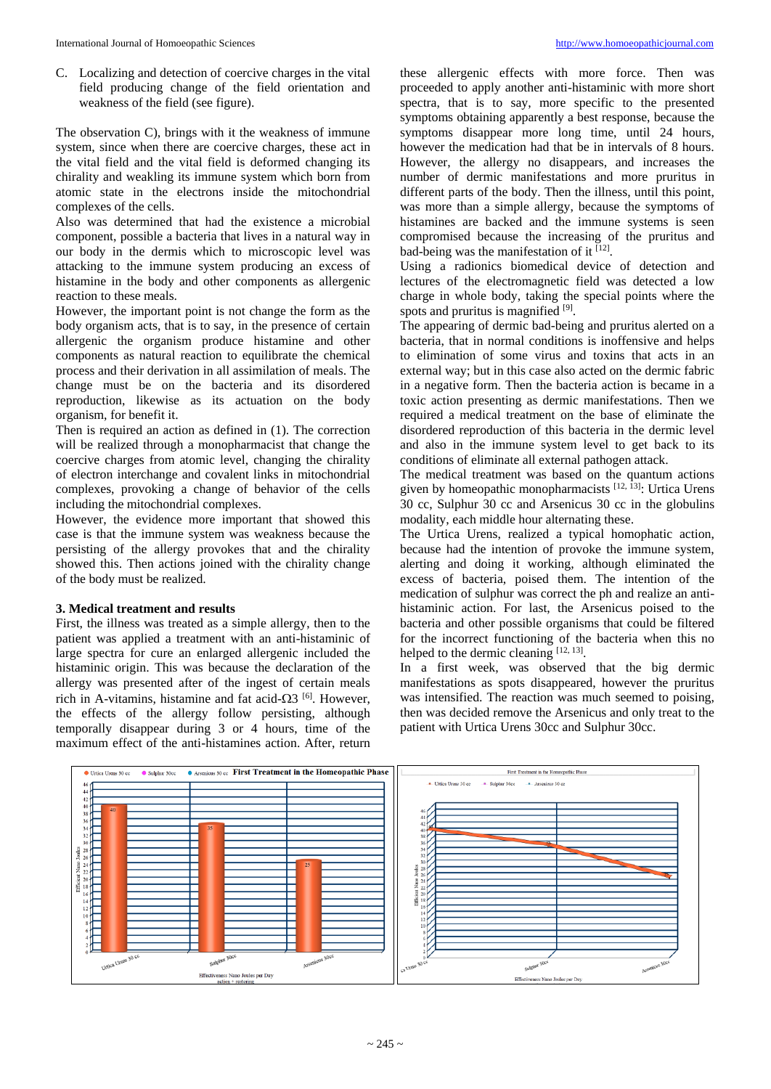C. Localizing and detection of coercive charges in the vital field producing change of the field orientation and weakness of the field (see figure).

The observation C), brings with it the weakness of immune system, since when there are coercive charges, these act in the vital field and the vital field is deformed changing its chirality and weakling its immune system which born from atomic state in the electrons inside the mitochondrial complexes of the cells.

Also was determined that had the existence a microbial component, possible a bacteria that lives in a natural way in our body in the dermis which to microscopic level was attacking to the immune system producing an excess of histamine in the body and other components as allergenic reaction to these meals.

However, the important point is not change the form as the body organism acts, that is to say, in the presence of certain allergenic the organism produce histamine and other components as natural reaction to equilibrate the chemical process and their derivation in all assimilation of meals. The change must be on the bacteria and its disordered reproduction, likewise as its actuation on the body organism, for benefit it.

Then is required an action as defined in (1). The correction will be realized through a monopharmacist that change the coercive charges from atomic level, changing the chirality of electron interchange and covalent links in mitochondrial complexes, provoking a change of behavior of the cells including the mitochondrial complexes.

However, the evidence more important that showed this case is that the immune system was weakness because the persisting of the allergy provokes that and the chirality showed this. Then actions joined with the chirality change of the body must be realized.

#### **3. Medical treatment and results**

First, the illness was treated as a simple allergy, then to the patient was applied a treatment with an anti-histaminic of large spectra for cure an enlarged allergenic included the histaminic origin. This was because the declaration of the allergy was presented after of the ingest of certain meals rich in A-vitamins, histamine and fat acid- $\Omega$ 3<sup>[6]</sup>. However, the effects of the allergy follow persisting, although temporally disappear during 3 or 4 hours, time of the maximum effect of the anti-histamines action. After, return these allergenic effects with more force. Then was proceeded to apply another anti-histaminic with more short spectra, that is to say, more specific to the presented symptoms obtaining apparently a best response, because the symptoms disappear more long time, until 24 hours, however the medication had that be in intervals of 8 hours. However, the allergy no disappears, and increases the number of dermic manifestations and more pruritus in different parts of the body. Then the illness, until this point, was more than a simple allergy, because the symptoms of histamines are backed and the immune systems is seen compromised because the increasing of the pruritus and bad-being was the manifestation of it  $[12]$ .

Using a radionics biomedical device of detection and lectures of the electromagnetic field was detected a low charge in whole body, taking the special points where the spots and pruritus is magnified [9].

The appearing of dermic bad-being and pruritus alerted on a bacteria, that in normal conditions is inoffensive and helps to elimination of some virus and toxins that acts in an external way; but in this case also acted on the dermic fabric in a negative form. Then the bacteria action is became in a toxic action presenting as dermic manifestations. Then we required a medical treatment on the base of eliminate the disordered reproduction of this bacteria in the dermic level and also in the immune system level to get back to its conditions of eliminate all external pathogen attack.

The medical treatment was based on the quantum actions given by homeopathic monopharmacists [12, 13]: Urtica Urens 30 cc, Sulphur 30 cc and Arsenicus 30 cc in the globulins modality, each middle hour alternating these.

The Urtica Urens, realized a typical homophatic action, because had the intention of provoke the immune system, alerting and doing it working, although eliminated the excess of bacteria, poised them. The intention of the medication of sulphur was correct the ph and realize an antihistaminic action. For last, the Arsenicus poised to the bacteria and other possible organisms that could be filtered for the incorrect functioning of the bacteria when this no helped to the dermic cleaning [12, 13].

In a first week, was observed that the big dermic manifestations as spots disappeared, however the pruritus was intensified. The reaction was much seemed to poising, then was decided remove the Arsenicus and only treat to the patient with Urtica Urens 30cc and Sulphur 30cc.

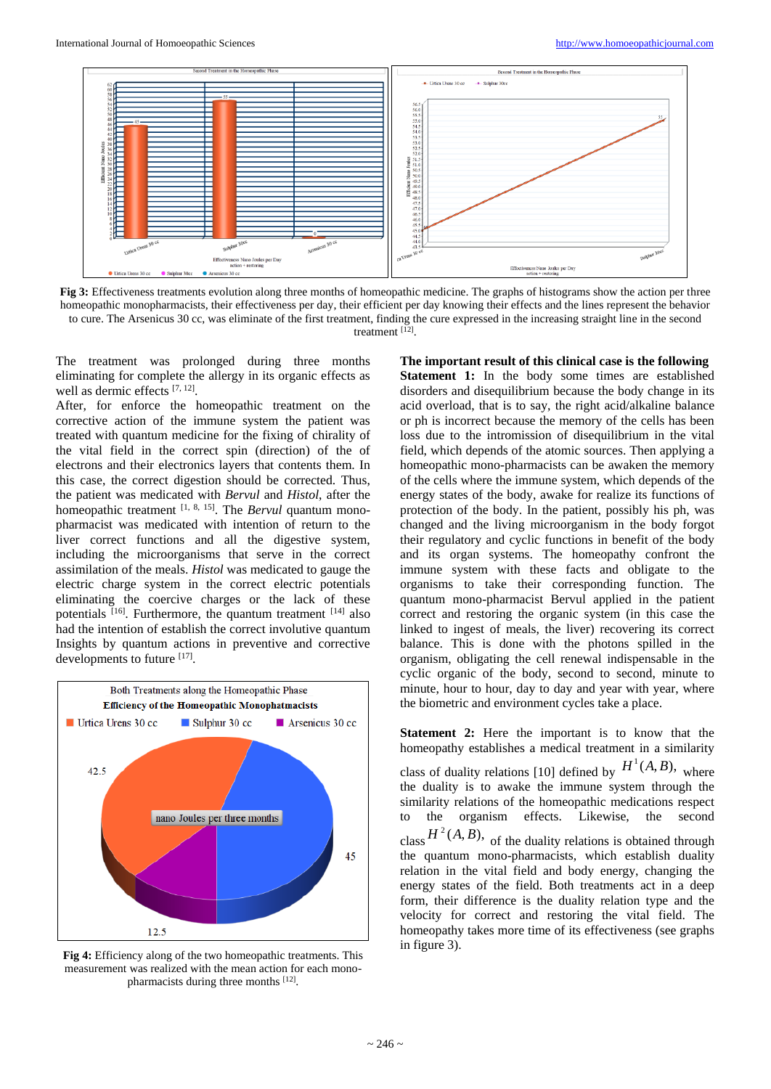

**Fig 3:** Effectiveness treatments evolution along three months of homeopathic medicine. The graphs of histograms show the action per three homeopathic monopharmacists, their effectiveness per day, their efficient per day knowing their effects and the lines represent the behavior to cure. The Arsenicus 30 cc, was eliminate of the first treatment, finding the cure expressed in the increasing straight line in the second treatment [12] .

The treatment was prolonged during three months eliminating for complete the allergy in its organic effects as well as dermic effects [7, 12].

After, for enforce the homeopathic treatment on the corrective action of the immune system the patient was treated with quantum medicine for the fixing of chirality of the vital field in the correct spin (direction) of the of electrons and their electronics layers that contents them. In this case, the correct digestion should be corrected. Thus, the patient was medicated with *Bervul* and *Histol*, after the homeopathic treatment <sup>[1, 8, 15]</sup>. The *Bervul* quantum monopharmacist was medicated with intention of return to the liver correct functions and all the digestive system, including the microorganisms that serve in the correct assimilation of the meals. *Histol* was medicated to gauge the electric charge system in the correct electric potentials eliminating the coercive charges or the lack of these potentials [16]. Furthermore, the quantum treatment [14] also had the intention of establish the correct involutive quantum Insights by quantum actions in preventive and corrective developments to future [17].



**Fig 4:** Efficiency along of the two homeopathic treatments. This measurement was realized with the mean action for each monopharmacists during three months [12].

**The important result of this clinical case is the following Statement 1:** In the body some times are established disorders and disequilibrium because the body change in its acid overload, that is to say, the right acid/alkaline balance or ph is incorrect because the memory of the cells has been loss due to the intromission of disequilibrium in the vital field, which depends of the atomic sources. Then applying a homeopathic mono-pharmacists can be awaken the memory of the cells where the immune system, which depends of the energy states of the body, awake for realize its functions of protection of the body. In the patient, possibly his ph, was changed and the living microorganism in the body forgot their regulatory and cyclic functions in benefit of the body and its organ systems. The homeopathy confront the immune system with these facts and obligate to the organisms to take their corresponding function. The quantum mono-pharmacist Bervul applied in the patient correct and restoring the organic system (in this case the linked to ingest of meals, the liver) recovering its correct balance. This is done with the photons spilled in the organism, obligating the cell renewal indispensable in the cyclic organic of the body, second to second, minute to minute, hour to hour, day to day and year with year, where the biometric and environment cycles take a place.

**Statement 2:** Here the important is to know that the homeopathy establishes a medical treatment in a similarity class of duality relations [10] defined by  $H^1(A, B)$ , where the duality is to awake the immune system through the similarity relations of the homeopathic medications respect to the organism effects. Likewise, the second class  $H^2(A, B)$ , of the duality relations is obtained through the quantum mono-pharmacists, which establish duality relation in the vital field and body energy, changing the energy states of the field. Both treatments act in a deep form, their difference is the duality relation type and the velocity for correct and restoring the vital field. The homeopathy takes more time of its effectiveness (see graphs in figure 3).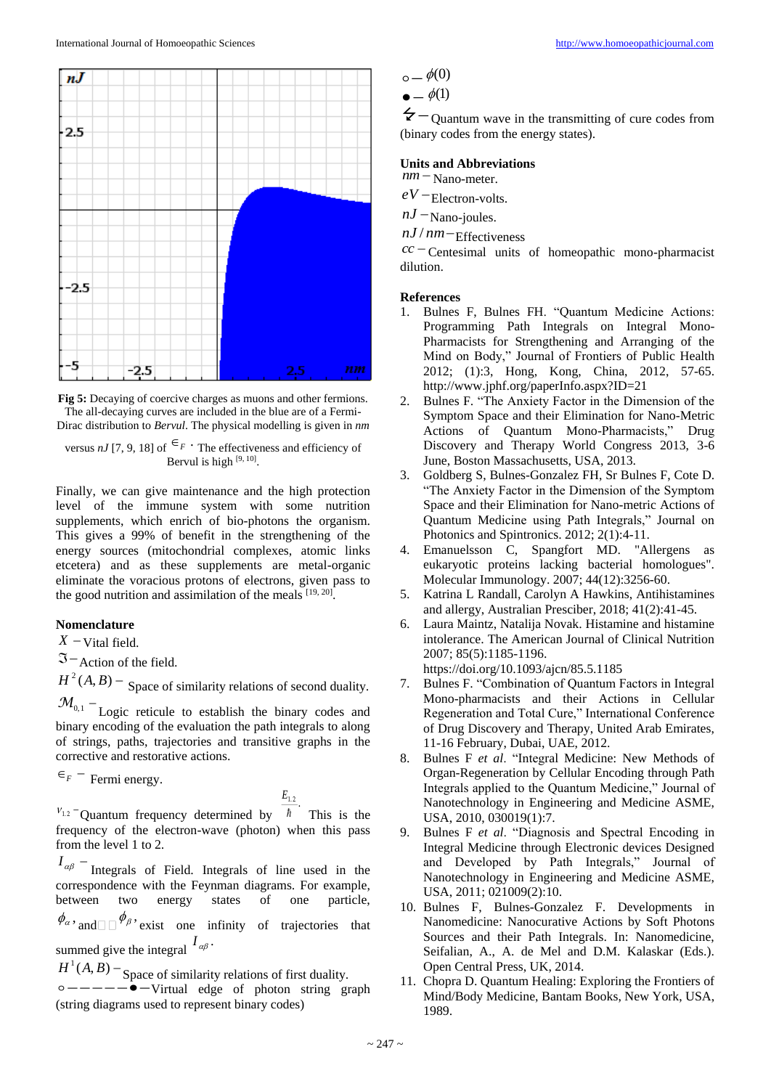

**Fig 5:** Decaying of coercive charges as muons and other fermions. The all-decaying curves are included in the blue are of a Fermi-Dirac distribution to *Bervul*. The physical modelling is given in *nm*

versus *nJ* [7, 9, 18] of  $\epsilon_F$   $\cdot$  The effectiveness and efficiency of Bervul is high  $[9, 10]$ .

Finally, we can give maintenance and the high protection level of the immune system with some nutrition supplements, which enrich of bio-photons the organism. This gives a 99% of benefit in the strengthening of the energy sources (mitochondrial complexes, atomic links etcetera) and as these supplements are metal-organic eliminate the voracious protons of electrons, given pass to the good nutrition and assimilation of the meals  $[19, 20]$ .

### **Nomenclature**

 $X$  – Vital field.

 $\mathfrak{I}$  - Action of the field.

 $H^2(A, B)$  – Space of similarity relations of second duality.

 $M_{0,1}$  – Logic reticule to establish the binary codes and binary encoding of the evaluation the path integrals to along of strings, paths, trajectories and transitive graphs in the corrective and restorative actions.

 $\epsilon_F$  – Fermi energy.

$$
E_{1.2}
$$

 $v_{1,2}$  Quantum frequency determined by  $\hbar$  This is the frequency of the electron-wave (photon) when this pass from the level 1 to 2.

 $I_{\alpha\beta}$  – Integrals of Field. Integrals of line used in the correspondence with the Feynman diagrams. For example, between two energy states of one particle,

 $\phi_{\alpha}$ , and  $\Box \phi_{\beta}$ , exist one infinity of trajectories that summed give the integral  $I_{\alpha\beta}$ .

 $H^1(A, B)$  – Space of similarity relations of first duality.  $\circ$  - - - - -  $\bullet$  - Virtual edge of photon string graph (string diagrams used to represent binary codes)

$$
\circ\!\!\!\!\!-\phi(0)
$$

$$
\bullet = \phi(1)
$$

 $\angle$   $\angle$  - Quantum wave in the transmitting of cure codes from (binary codes from the energy states).

#### **Units and Abbreviations**

 $nm -$ Nano-meter.

 $eV$  – Electron-volts.

 $nJ$  – Nano-joules.

*nJ* /  $nm$  - Effectiveness

 $cc$  Centesimal units of homeopathic mono-pharmacist dilution.

#### **References**

- 1. Bulnes F, Bulnes FH. "Quantum Medicine Actions: Programming Path Integrals on Integral Mono-Pharmacists for Strengthening and Arranging of the Mind on Body," Journal of Frontiers of Public Health 2012; (1):3, Hong, Kong, China, 2012, 57-65. http://www.jphf.org/paperInfo.aspx?ID=21
- 2. Bulnes F. "The Anxiety Factor in the Dimension of the Symptom Space and their Elimination for Nano-Metric Actions of Quantum Mono-Pharmacists," Drug Discovery and Therapy World Congress 2013, 3-6 June, Boston Massachusetts, USA, 2013.
- 3. Goldberg S, Bulnes-Gonzalez FH, Sr Bulnes F, Cote D. "The Anxiety Factor in the Dimension of the Symptom Space and their Elimination for Nano-metric Actions of Quantum Medicine using Path Integrals," Journal on Photonics and Spintronics. 2012; 2(1):4-11.
- 4. Emanuelsson C, Spangfort MD. "Allergens as eukaryotic proteins lacking bacterial homologues". Molecular Immunology. 2007; 44(12):3256-60.
- 5. Katrina L Randall, Carolyn A Hawkins, Antihistamines and allergy, Australian Presciber, 2018; 41(2):41-45.
- 6. Laura Maintz, Natalija Novak. Histamine and histamine intolerance. The American Journal of Clinical Nutrition 2007; 85(5):1185-1196. https://doi.org/10.1093/ajcn/85.5.1185
- 7. Bulnes F. "Combination of Quantum Factors in Integral Mono-pharmacists and their Actions in Cellular Regeneration and Total Cure," International Conference of Drug Discovery and Therapy, United Arab Emirates, 11-16 February, Dubai, UAE, 2012.
- 8. Bulnes F *et al*. "Integral Medicine: New Methods of Organ-Regeneration by Cellular Encoding through Path Integrals applied to the Quantum Medicine," Journal of Nanotechnology in Engineering and Medicine ASME, USA, 2010, 030019(1):7.
- 9. Bulnes F *et al*. "Diagnosis and Spectral Encoding in Integral Medicine through Electronic devices Designed and Developed by Path Integrals," Journal of Nanotechnology in Engineering and Medicine ASME, USA, 2011; 021009(2):10.
- 10. Bulnes F, Bulnes-Gonzalez F. Developments in Nanomedicine: Nanocurative Actions by Soft Photons Sources and their Path Integrals. In: Nanomedicine, Seifalian, A., A. de Mel and D.M. Kalaskar (Eds.). Open Central Press, UK, 2014.
- 11. Chopra D. Quantum Healing: Exploring the Frontiers of Mind/Body Medicine, Bantam Books, New York, USA, 1989.